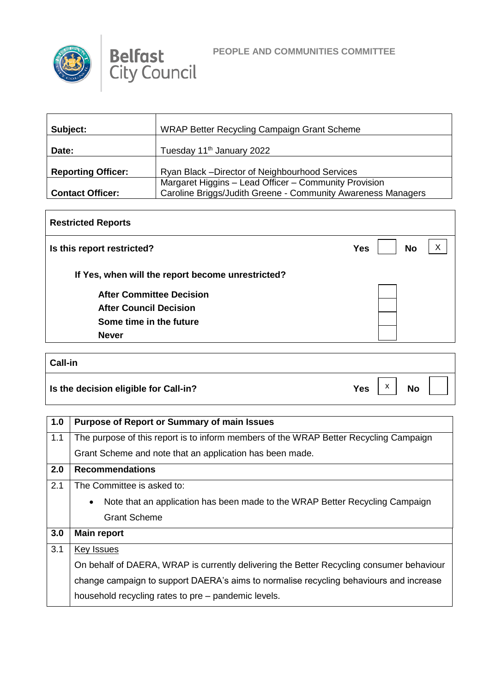



| Subject:                  | WRAP Better Recycling Campaign Grant Scheme                                                                           |
|---------------------------|-----------------------------------------------------------------------------------------------------------------------|
| Date:                     | Tuesday 11 <sup>th</sup> January 2022                                                                                 |
| <b>Reporting Officer:</b> | Ryan Black - Director of Neighbourhood Services                                                                       |
| <b>Contact Officer:</b>   | Margaret Higgins - Lead Officer - Community Provision<br>Caroline Briggs/Judith Greene - Community Awareness Managers |

## **Restricted Reports Is this report restricted? No No If Yes, when will the report become unrestricted? After Committee Decision After Council Decision Some time in the future Never**  $\vert x \vert$

| <b>Call-in</b>                        |     |                    |           |  |
|---------------------------------------|-----|--------------------|-----------|--|
| Is the decision eligible for Call-in? | Yes | $\pmb{\mathsf{X}}$ | <b>No</b> |  |

| 1.0 | <b>Purpose of Report or Summary of main Issues</b>                                        |
|-----|-------------------------------------------------------------------------------------------|
| 1.1 | The purpose of this report is to inform members of the WRAP Better Recycling Campaign     |
|     | Grant Scheme and note that an application has been made.                                  |
| 2.0 | <b>Recommendations</b>                                                                    |
| 2.1 | The Committee is asked to:                                                                |
|     | Note that an application has been made to the WRAP Better Recycling Campaign<br>$\bullet$ |
|     | <b>Grant Scheme</b>                                                                       |
| 3.0 | <b>Main report</b>                                                                        |
| 3.1 | Key Issues                                                                                |
|     | On behalf of DAERA, WRAP is currently delivering the Better Recycling consumer behaviour  |
|     | change campaign to support DAERA's aims to normalise recycling behaviours and increase    |
|     | household recycling rates to pre – pandemic levels.                                       |